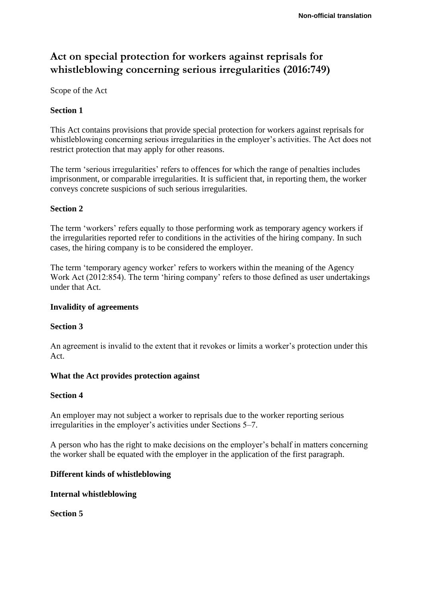# **Act on special protection for workers against reprisals for whistleblowing concerning serious irregularities (2016:749)**

Scope of the Act

# **Section 1**

This Act contains provisions that provide special protection for workers against reprisals for whistleblowing concerning serious irregularities in the employer's activities. The Act does not restrict protection that may apply for other reasons.

The term 'serious irregularities' refers to offences for which the range of penalties includes imprisonment, or comparable irregularities. It is sufficient that, in reporting them, the worker conveys concrete suspicions of such serious irregularities.

## **Section 2**

The term 'workers' refers equally to those performing work as temporary agency workers if the irregularities reported refer to conditions in the activities of the hiring company. In such cases, the hiring company is to be considered the employer.

The term 'temporary agency worker' refers to workers within the meaning of the Agency Work Act (2012:854). The term 'hiring company' refers to those defined as user undertakings under that Act.

# **Invalidity of agreements**

#### **Section 3**

An agreement is invalid to the extent that it revokes or limits a worker's protection under this Act.

# **What the Act provides protection against**

#### **Section 4**

An employer may not subject a worker to reprisals due to the worker reporting serious irregularities in the employer's activities under Sections 5–7.

A person who has the right to make decisions on the employer's behalf in matters concerning the worker shall be equated with the employer in the application of the first paragraph.

# **Different kinds of whistleblowing**

#### **Internal whistleblowing**

**Section 5**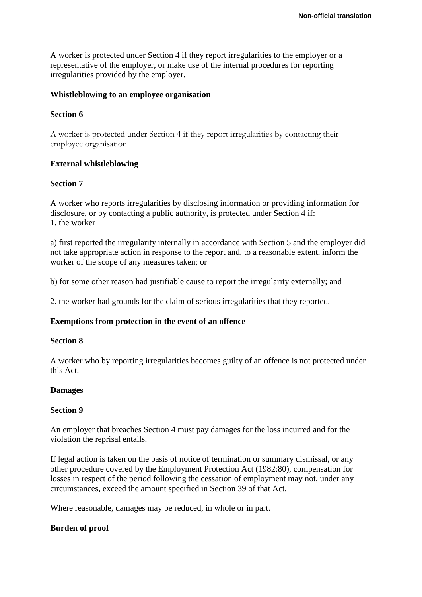A worker is protected under Section 4 if they report irregularities to the employer or a representative of the employer, or make use of the internal procedures for reporting irregularities provided by the employer.

### **Whistleblowing to an employee organisation**

## **Section 6**

A worker is protected under Section 4 if they report irregularities by contacting their employee organisation.

# **External whistleblowing**

#### **Section 7**

A worker who reports irregularities by disclosing information or providing information for disclosure, or by contacting a public authority, is protected under Section 4 if: 1. the worker

a) first reported the irregularity internally in accordance with Section 5 and the employer did not take appropriate action in response to the report and, to a reasonable extent, inform the worker of the scope of any measures taken; or

b) for some other reason had justifiable cause to report the irregularity externally; and

2. the worker had grounds for the claim of serious irregularities that they reported.

#### **Exemptions from protection in the event of an offence**

#### **Section 8**

A worker who by reporting irregularities becomes guilty of an offence is not protected under this Act.

#### **Damages**

#### **Section 9**

An employer that breaches Section 4 must pay damages for the loss incurred and for the violation the reprisal entails.

If legal action is taken on the basis of notice of termination or summary dismissal, or any other procedure covered by the Employment Protection Act (1982:80), compensation for losses in respect of the period following the cessation of employment may not, under any circumstances, exceed the amount specified in Section 39 of that Act.

Where reasonable, damages may be reduced, in whole or in part.

# **Burden of proof**